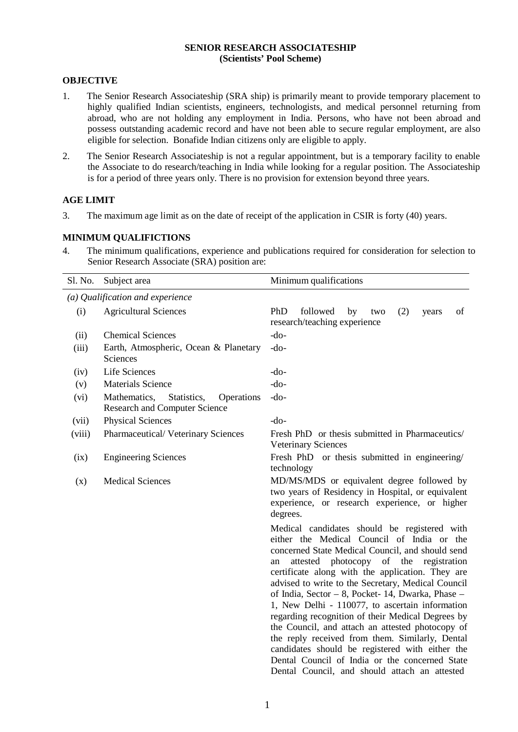#### **SENIOR RESEARCH ASSOCIATESHIP (Scientists' Pool Scheme)**

# **OBJECTIVE**

- 1. The Senior Research Associateship (SRA ship) is primarily meant to provide temporary placement to highly qualified Indian scientists, engineers, technologists, and medical personnel returning from abroad, who are not holding any employment in India. Persons, who have not been abroad and possess outstanding academic record and have not been able to secure regular employment, are also eligible for selection. Bonafide Indian citizens only are eligible to apply.
- 2. The Senior Research Associateship is not a regular appointment, but is a temporary facility to enable the Associate to do research/teaching in India while looking for a regular position. The Associateship is for a period of three years only. There is no provision for extension beyond three years.

# **AGE LIMIT**

3. The maximum age limit as on the date of receipt of the application in CSIR is forty (40) years.

# **MINIMUM QUALIFICTIONS**

4. The minimum qualifications, experience and publications required for consideration for selection to Senior Research Associate (SRA) position are:

| Sl. No. | Subject area                                                                      | Minimum qualifications                                                                                                                                                                                                                                                                                                                                                                                                                                                                                                                                                                                                                                                                                                            |  |  |
|---------|-----------------------------------------------------------------------------------|-----------------------------------------------------------------------------------------------------------------------------------------------------------------------------------------------------------------------------------------------------------------------------------------------------------------------------------------------------------------------------------------------------------------------------------------------------------------------------------------------------------------------------------------------------------------------------------------------------------------------------------------------------------------------------------------------------------------------------------|--|--|
|         | (a) Qualification and experience                                                  |                                                                                                                                                                                                                                                                                                                                                                                                                                                                                                                                                                                                                                                                                                                                   |  |  |
| (i)     | <b>Agricultural Sciences</b>                                                      | PhD<br>followed<br>of<br>by<br>(2)<br>two<br>years<br>research/teaching experience                                                                                                                                                                                                                                                                                                                                                                                                                                                                                                                                                                                                                                                |  |  |
| (ii)    | <b>Chemical Sciences</b>                                                          | $-do-$                                                                                                                                                                                                                                                                                                                                                                                                                                                                                                                                                                                                                                                                                                                            |  |  |
| (iii)   | Earth, Atmospheric, Ocean & Planetary<br><b>Sciences</b>                          | $-do-$                                                                                                                                                                                                                                                                                                                                                                                                                                                                                                                                                                                                                                                                                                                            |  |  |
| (iv)    | Life Sciences                                                                     | $-do-$                                                                                                                                                                                                                                                                                                                                                                                                                                                                                                                                                                                                                                                                                                                            |  |  |
| (v)     | <b>Materials Science</b>                                                          | -do-                                                                                                                                                                                                                                                                                                                                                                                                                                                                                                                                                                                                                                                                                                                              |  |  |
| (vi)    | Mathematics,<br>Statistics,<br>Operations<br><b>Research and Computer Science</b> | $-do-$                                                                                                                                                                                                                                                                                                                                                                                                                                                                                                                                                                                                                                                                                                                            |  |  |
| (vii)   | <b>Physical Sciences</b>                                                          | $-do-$                                                                                                                                                                                                                                                                                                                                                                                                                                                                                                                                                                                                                                                                                                                            |  |  |
| (viii)  | Pharmaceutical/Veterinary Sciences                                                | Fresh PhD or thesis submitted in Pharmaceutics/<br><b>Veterinary Sciences</b>                                                                                                                                                                                                                                                                                                                                                                                                                                                                                                                                                                                                                                                     |  |  |
| (ix)    | <b>Engineering Sciences</b>                                                       | Fresh PhD or thesis submitted in engineering/<br>technology                                                                                                                                                                                                                                                                                                                                                                                                                                                                                                                                                                                                                                                                       |  |  |
| (x)     | <b>Medical Sciences</b>                                                           | MD/MS/MDS or equivalent degree followed by<br>two years of Residency in Hospital, or equivalent<br>experience, or research experience, or higher<br>degrees.                                                                                                                                                                                                                                                                                                                                                                                                                                                                                                                                                                      |  |  |
|         |                                                                                   | Medical candidates should be registered with<br>either the Medical Council of India or the<br>concerned State Medical Council, and should send<br>attested photocopy of the registration<br>an<br>certificate along with the application. They are<br>advised to write to the Secretary, Medical Council<br>of India, Sector – 8, Pocket-14, Dwarka, Phase –<br>1, New Delhi - 110077, to ascertain information<br>regarding recognition of their Medical Degrees by<br>the Council, and attach an attested photocopy of<br>the reply received from them. Similarly, Dental<br>candidates should be registered with either the<br>Dental Council of India or the concerned State<br>Dental Council, and should attach an attested |  |  |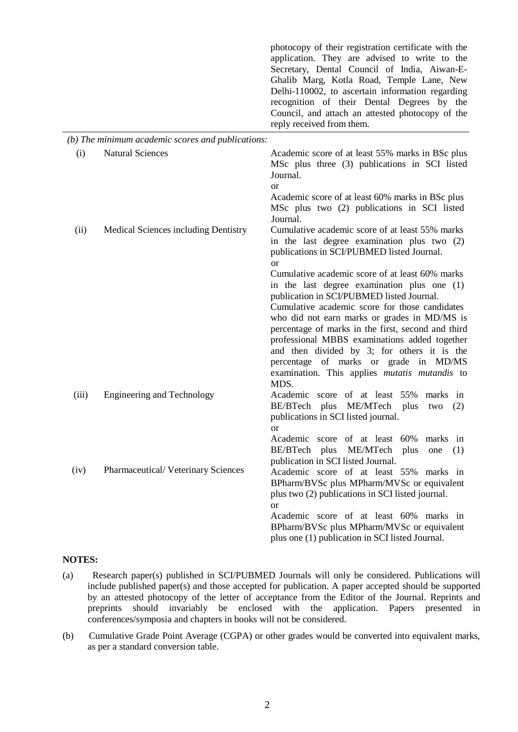|       |                                                   | photocopy of their registration certificate with the<br>application. They are advised to write to the<br>Secretary, Dental Council of India, Aiwan-E-<br>Ghalib Marg, Kotla Road, Temple Lane, New<br>Delhi-110002, to ascertain information regarding<br>recognition of their Dental Degrees by the<br>Council, and attach an attested photocopy of the<br>reply received from them. |
|-------|---------------------------------------------------|---------------------------------------------------------------------------------------------------------------------------------------------------------------------------------------------------------------------------------------------------------------------------------------------------------------------------------------------------------------------------------------|
|       | (b) The minimum academic scores and publications: |                                                                                                                                                                                                                                                                                                                                                                                       |
| (i)   | <b>Natural Sciences</b>                           | Academic score of at least 55% marks in BSc plus<br>MSc plus three (3) publications in SCI listed<br>Journal.                                                                                                                                                                                                                                                                         |
|       |                                                   | <sub>or</sub><br>Academic score of at least 60% marks in BSc plus<br>MSc plus two (2) publications in SCI listed<br>Journal.                                                                                                                                                                                                                                                          |
| (ii)  | Medical Sciences including Dentistry              | Cumulative academic score of at least 55% marks<br>in the last degree examination plus two (2)<br>publications in SCI/PUBMED listed Journal.<br><sub>or</sub>                                                                                                                                                                                                                         |
|       |                                                   | Cumulative academic score of at least 60% marks<br>in the last degree examination plus one (1)<br>publication in SCI/PUBMED listed Journal.<br>Cumulative academic score for those candidates                                                                                                                                                                                         |
|       |                                                   | who did not earn marks or grades in MD/MS is<br>percentage of marks in the first, second and third<br>professional MBBS examinations added together<br>and then divided by 3; for others it is the                                                                                                                                                                                    |
|       |                                                   | percentage of marks or grade in MD/MS<br>examination. This applies mutatis mutandis to<br>MDS.                                                                                                                                                                                                                                                                                        |
| (iii) | <b>Engineering and Technology</b>                 | Academic score of at least 55%<br>marks in<br>BE/BTech plus ME/MTech<br>plus<br>(2)<br>two<br>publications in SCI listed journal.<br>or                                                                                                                                                                                                                                               |
|       |                                                   | Academic score of at least 60%<br>marks in<br>BE/BTech<br>plus<br>ME/MTech<br>plus<br>(1)<br>one                                                                                                                                                                                                                                                                                      |
| (iv)  | Pharmaceutical/Veterinary Sciences                | publication in SCI listed Journal.<br>Academic score of at least 55%<br>marks in                                                                                                                                                                                                                                                                                                      |
|       |                                                   | BPharm/BVSc plus MPharm/MVSc or equivalent<br>plus two (2) publications in SCI listed journal.<br><sub>or</sub>                                                                                                                                                                                                                                                                       |
|       |                                                   | Academic score of at least 60% marks in                                                                                                                                                                                                                                                                                                                                               |
|       |                                                   | BPharm/BVSc plus MPharm/MVSc or equivalent                                                                                                                                                                                                                                                                                                                                            |
|       |                                                   | plus one (1) publication in SCI listed Journal.                                                                                                                                                                                                                                                                                                                                       |

#### **NOTES:**

- (a) Research paper(s) published in SCI/PUBMED Journals will only be considered. Publications will include published paper(s) and those accepted for publication. A paper accepted should be supported by an attested photocopy of the letter of acceptance from the Editor of the Journal. Reprints and preprints should invariably be enclosed with the application. Papers presented in conferences/symposia and chapters in books will not be considered.
- (b) Cumulative Grade Point Average (CGPA) or other grades would be converted into equivalent marks, as per a standard conversion table.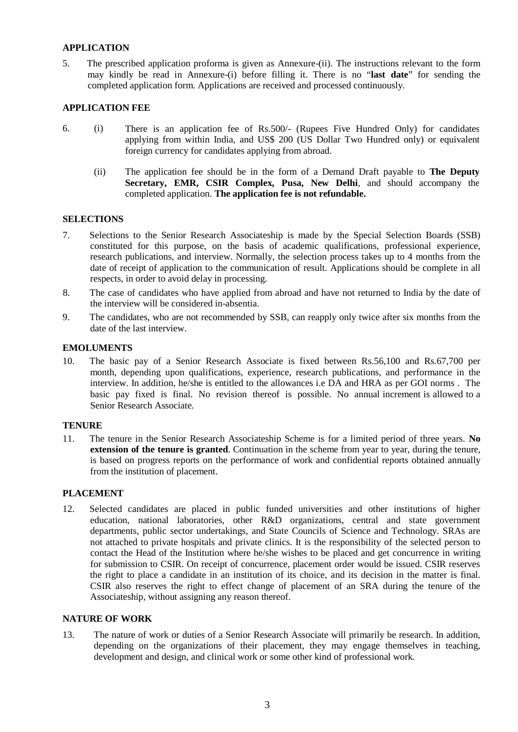# **APPLICATION**

5. The prescribed application proforma is given as Annexure-(ii). The instructions relevant to the form may kindly be read in Annexure-(i) before filling it. There is no "**last date**" for sending the completed application form. Applications are received and processed continuously.

# **APPLICATION FEE**

- 6. (i) There is an application fee of Rs.500/- (Rupees Five Hundred Only) for candidates applying from within India, and US\$ 200 (US Dollar Two Hundred only) or equivalent foreign currency for candidates applying from abroad.
	- (ii) The application fee should be in the form of a Demand Draft payable to **The Deputy Secretary, EMR, CSIR Complex, Pusa, New Delhi**, and should accompany the completed application. **The application fee is not refundable.**

#### **SELECTIONS**

- 7. Selections to the Senior Research Associateship is made by the Special Selection Boards (SSB) constituted for this purpose, on the basis of academic qualifications, professional experience, research publications, and interview. Normally, the selection process takes up to 4 months from the date of receipt of application to the communication of result. Applications should be complete in all respects, in order to avoid delay in processing.
- 8. The case of candidates who have applied from abroad and have not returned to India by the date of the interview will be considered in-absentia.
- 9. The candidates, who are not recommended by SSB, can reapply only twice after six months from the date of the last interview.

# **EMOLUMENTS**

10. The basic pay of a Senior Research Associate is fixed between Rs.56,100 and Rs.67,700 per month, depending upon qualifications, experience, research publications, and performance in the interview. In addition, he/she is entitled to the allowances i.e DA and HRA as per GOI norms . The basic pay fixed is final. No revision thereof is possible. No annual increment is allowed to a Senior Research Associate.

#### **TENURE**

11. The tenure in the Senior Research Associateship Scheme is for a limited period of three years. **No extension of the tenure is granted**. Continuation in the scheme from year to year, during the tenure, is based on progress reports on the performance of work and confidential reports obtained annually from the institution of placement.

#### **PLACEMENT**

12. Selected candidates are placed in public funded universities and other institutions of higher education, national laboratories, other R&D organizations, central and state government departments, public sector undertakings, and State Councils of Science and Technology. SRAs are not attached to private hospitals and private clinics. It is the responsibility of the selected person to contact the Head of the Institution where he/she wishes to be placed and get concurrence in writing for submission to CSIR. On receipt of concurrence, placement order would be issued. CSIR reserves the right to place a candidate in an institution of its choice, and its decision in the matter is final. CSIR also reserves the right to effect change of placement of an SRA during the tenure of the Associateship, without assigning any reason thereof.

# **NATURE OF WORK**

13. The nature of work or duties of a Senior Research Associate will primarily be research. In addition, depending on the organizations of their placement, they may engage themselves in teaching, development and design, and clinical work or some other kind of professional work.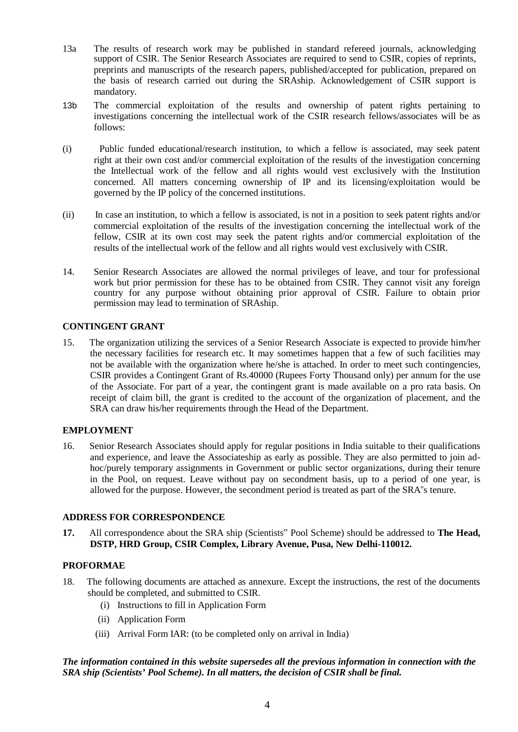- 13a The results of research work may be published in standard refereed journals, acknowledging support of CSIR. The Senior Research Associates are required to send to CSIR, copies of reprints, preprints and manuscripts of the research papers, published/accepted for publication, prepared on the basis of research carried out during the SRAship. Acknowledgement of CSIR support is mandatory.
- 13b The commercial exploitation of the results and ownership of patent rights pertaining to investigations concerning the intellectual work of the CSIR research fellows/associates will be as follows:
- (i) Public funded educational/research institution, to which a fellow is associated, may seek patent right at their own cost and/or commercial exploitation of the results of the investigation concerning the Intellectual work of the fellow and all rights would vest exclusively with the Institution concerned. All matters concerning ownership of IP and its licensing/exploitation would be governed by the IP policy of the concerned institutions.
- (ii) In case an institution, to which a fellow is associated, is not in a position to seek patent rights and/or commercial exploitation of the results of the investigation concerning the intellectual work of the fellow, CSIR at its own cost may seek the patent rights and/or commercial exploitation of the results of the intellectual work of the fellow and all rights would vest exclusively with CSIR.
- 14. Senior Research Associates are allowed the normal privileges of leave, and tour for professional work but prior permission for these has to be obtained from CSIR. They cannot visit any foreign country for any purpose without obtaining prior approval of CSIR. Failure to obtain prior permission may lead to termination of SRAship.

# **CONTINGENT GRANT**

15. The organization utilizing the services of a Senior Research Associate is expected to provide him/her the necessary facilities for research etc. It may sometimes happen that a few of such facilities may not be available with the organization where he/she is attached. In order to meet such contingencies, CSIR provides a Contingent Grant of Rs.40000 (Rupees Forty Thousand only) per annum for the use of the Associate. For part of a year, the contingent grant is made available on a pro rata basis. On receipt of claim bill, the grant is credited to the account of the organization of placement, and the SRA can draw his/her requirements through the Head of the Department.

#### **EMPLOYMENT**

16. Senior Research Associates should apply for regular positions in India suitable to their qualifications and experience, and leave the Associateship as early as possible. They are also permitted to join adhoc/purely temporary assignments in Government or public sector organizations, during their tenure in the Pool, on request. Leave without pay on secondment basis, up to a period of one year, is allowed for the purpose. However, the secondment period is treated as part of the SRA"s tenure.

# **ADDRESS FOR CORRESPONDENCE**

**17.** All correspondence about the SRA ship (Scientists" Pool Scheme) should be addressed to **The Head, DSTP, HRD Group, CSIR Complex, Library Avenue, Pusa, New Delhi-110012.**

#### **PROFORMAE**

- 18. The following documents are attached as annexure. Except the instructions, the rest of the documents should be completed, and submitted to CSIR.
	- (i) Instructions to fill in Application Form
	- (ii) Application Form
	- (iii) Arrival Form IAR: (to be completed only on arrival in India)

# *The information contained in this website supersedes all the previous information in connection with the SRA ship (Scientists' Pool Scheme). In all matters, the decision of CSIR shall be final.*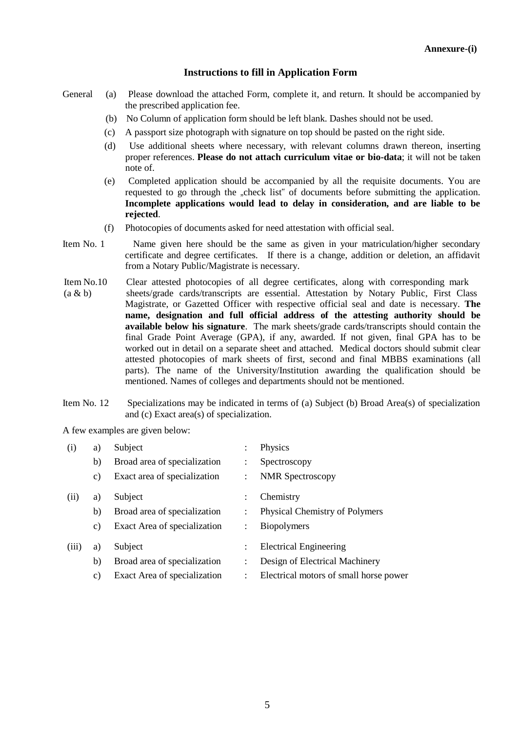# **Instructions to fill in Application Form**

- General (a) Please download the attached Form, complete it, and return. It should be accompanied by the prescribed application fee.
	- (b) No Column of application form should be left blank. Dashes should not be used.
	- (c) A passport size photograph with signature on top should be pasted on the right side.
	- (d) Use additional sheets where necessary, with relevant columns drawn thereon, inserting proper references. **Please do not attach curriculum vitae or bio-data**; it will not be taken note of.
	- (e) Completed application should be accompanied by all the requisite documents. You are requested to go through the "check list" of documents before submitting the application. **Incomplete applications would lead to delay in consideration, and are liable to be rejected**.
	- (f) Photocopies of documents asked for need attestation with official seal.
- Item No. 1 Name given here should be the same as given in your matriculation/higher secondary certificate and degree certificates. If there is a change, addition or deletion, an affidavit from a Notary Public/Magistrate is necessary.
- Item No.10 Clear attested photocopies of all degree certificates, along with corresponding mark (a & b) sheets/grade cards/transcripts are essential. Attestation by Notary Public, First Class Magistrate, or Gazetted Officer with respective official seal and date is necessary. **The name, designation and full official address of the attesting authority should be available below his signature**. The mark sheets/grade cards/transcripts should contain the final Grade Point Average (GPA), if any, awarded. If not given, final GPA has to be worked out in detail on a separate sheet and attached. Medical doctors should submit clear attested photocopies of mark sheets of first, second and final MBBS examinations (all parts). The name of the University/Institution awarding the qualification should be mentioned. Names of colleges and departments should not be mentioned.
- Item No. 12 Specializations may be indicated in terms of (a) Subject (b) Broad Area(s) of specialization and (c) Exact area(s) of specialization.

A few examples are given below:

| (i)   | a) | Subject                      |                      | Physics                                |
|-------|----|------------------------------|----------------------|----------------------------------------|
|       | b) | Broad area of specialization | $\ddot{\cdot}$       | Spectroscopy                           |
|       | C) | Exact area of specialization | $\ddot{\phantom{a}}$ | <b>NMR</b> Spectroscopy                |
| (ii)  | a) | Subject                      |                      | Chemistry                              |
|       | b) | Broad area of specialization | $\ddot{\cdot}$       | <b>Physical Chemistry of Polymers</b>  |
|       | C) | Exact Area of specialization | $\ddot{\cdot}$       | <b>Biopolymers</b>                     |
| (iii) | a) | Subject                      | $\ddot{\cdot}$       | <b>Electrical Engineering</b>          |
|       | b) | Broad area of specialization | $\ddot{\cdot}$       | Design of Electrical Machinery         |
|       | C) | Exact Area of specialization | $\ddot{\cdot}$       | Electrical motors of small horse power |
|       |    |                              |                      |                                        |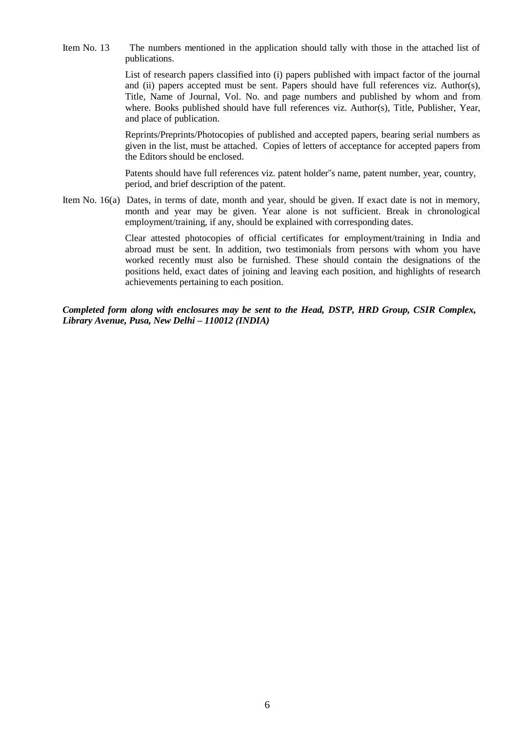Item No. 13 The numbers mentioned in the application should tally with those in the attached list of publications.

> List of research papers classified into (i) papers published with impact factor of the journal and (ii) papers accepted must be sent. Papers should have full references viz. Author(s), Title, Name of Journal, Vol. No. and page numbers and published by whom and from where. Books published should have full references viz. Author(s), Title, Publisher, Year, and place of publication.

> Reprints/Preprints/Photocopies of published and accepted papers, bearing serial numbers as given in the list, must be attached. Copies of letters of acceptance for accepted papers from the Editors should be enclosed.

Patents should have full references viz. patent holder"s name, patent number, year, country, period, and brief description of the patent.

Item No. 16(a) Dates, in terms of date, month and year, should be given. If exact date is not in memory, month and year may be given. Year alone is not sufficient. Break in chronological employment/training, if any, should be explained with corresponding dates.

> Clear attested photocopies of official certificates for employment/training in India and abroad must be sent. In addition, two testimonials from persons with whom you have worked recently must also be furnished. These should contain the designations of the positions held, exact dates of joining and leaving each position, and highlights of research achievements pertaining to each position.

*Completed form along with enclosures may be sent to the Head, DSTP, HRD Group, CSIR Complex, Library Avenue, Pusa, New Delhi – 110012 (INDIA)*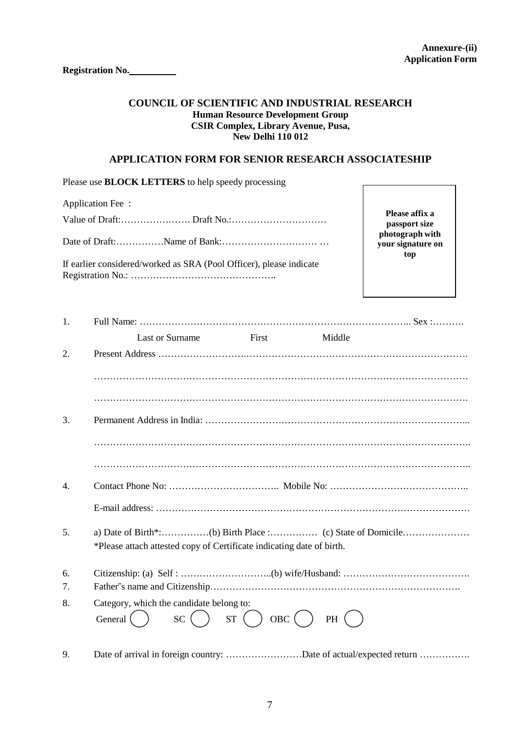**Annexure-(ii) Application Form**

**Registration No.**

# **COUNCIL OF SCIENTIFIC AND INDUSTRIAL RESEARCH Human Resource Development Group CSIR Complex, Library Avenue, Pusa, New Delhi 110 012**

# **APPLICATION FORM FOR SENIOR RESEARCH ASSOCIATESHIP**

Please use **BLOCK LETTERS** to help speedy processing

| Application Fee:                                                    |
|---------------------------------------------------------------------|
|                                                                     |
|                                                                     |
| If earlier considered/worked as SRA (Pool Officer), please indicate |

**Please affix a passport size photograph with your signature on top**

| 1. |                                                                                        |               |        |  |
|----|----------------------------------------------------------------------------------------|---------------|--------|--|
|    | <b>Last or Surname</b>                                                                 | First         | Middle |  |
| 2. |                                                                                        |               |        |  |
|    |                                                                                        |               |        |  |
|    |                                                                                        |               |        |  |
| 3. |                                                                                        |               |        |  |
|    |                                                                                        |               |        |  |
|    |                                                                                        |               |        |  |
| 4. |                                                                                        |               |        |  |
|    |                                                                                        |               |        |  |
| 5. | *Please attach attested copy of Certificate indicating date of birth.                  |               |        |  |
| 6. |                                                                                        |               |        |  |
| 7. |                                                                                        |               |        |  |
| 8. | Category, which the candidate belong to:<br><b>ST</b><br>SC( )<br>General <sup>(</sup> | $()$ OBC $()$ | PH (   |  |
| 9. | Date of arrival in foreign country: Date of actual/expected return                     |               |        |  |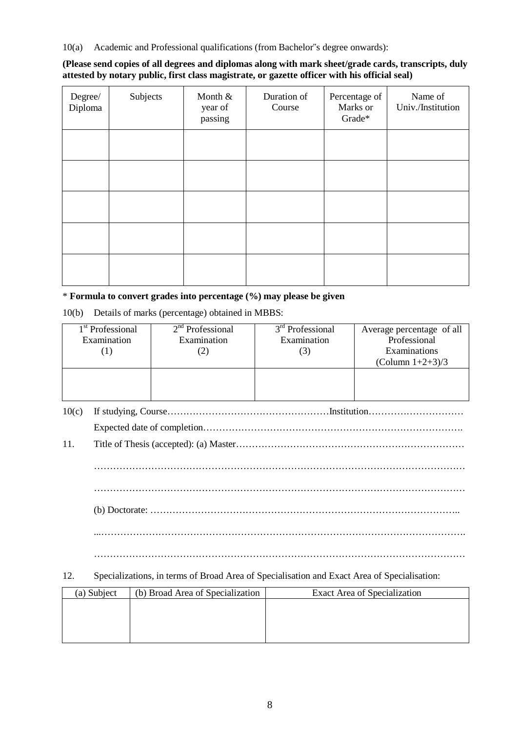10(a) Academic and Professional qualifications (from Bachelor"s degree onwards):

**(Please send copies of all degrees and diplomas along with mark sheet/grade cards, transcripts, duly attested by notary public, first class magistrate, or gazette officer with his official seal)**

| Degree/<br>Diploma | Subjects | Month &<br>year of<br>passing | Duration of<br>Course | Percentage of<br>Marks or<br>Grade* | Name of<br>Univ./Institution |
|--------------------|----------|-------------------------------|-----------------------|-------------------------------------|------------------------------|
|                    |          |                               |                       |                                     |                              |
|                    |          |                               |                       |                                     |                              |
|                    |          |                               |                       |                                     |                              |
|                    |          |                               |                       |                                     |                              |
|                    |          |                               |                       |                                     |                              |

\* **Formula to convert grades into percentage (%) may please be given**

10(b) Details of marks (percentage) obtained in MBBS:

|       | 1 <sup>st</sup> Professional | $2nd$ Professional | 3 <sup>rd</sup> Professional | Average percentage of all |
|-------|------------------------------|--------------------|------------------------------|---------------------------|
|       | Examination                  | Examination        | Examination                  | Professional              |
|       | (1)                          | (2)                | (3)                          | Examinations              |
|       |                              |                    |                              | (Column $1+2+3/3$ )       |
|       |                              |                    |                              |                           |
|       |                              |                    |                              |                           |
|       |                              |                    |                              |                           |
| 10(c) |                              |                    |                              |                           |
|       |                              |                    |                              |                           |
| 11.   |                              |                    |                              |                           |
|       |                              |                    |                              |                           |
|       |                              |                    |                              |                           |
|       |                              |                    |                              |                           |
|       |                              |                    |                              |                           |
|       |                              |                    |                              |                           |
|       |                              |                    |                              |                           |
|       |                              |                    |                              |                           |
|       |                              |                    |                              |                           |
|       |                              |                    |                              |                           |

# 12. Specializations, in terms of Broad Area of Specialisation and Exact Area of Specialisation:

| (a) Subject | (b) Broad Area of Specialization | Exact Area of Specialization |
|-------------|----------------------------------|------------------------------|
|             |                                  |                              |
|             |                                  |                              |
|             |                                  |                              |
|             |                                  |                              |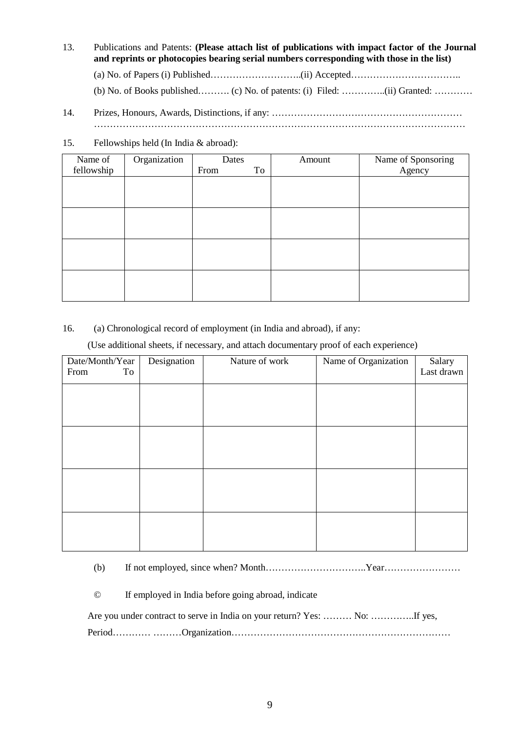- 13. Publications and Patents: **(Please attach list of publications with impact factor of the Journal and reprints or photocopies bearing serial numbers corresponding with those in the list)** (a) No. of Papers (i) Published………………………..(ii) Accepted…………………………….. (b) No. of Books published………. (c) No. of patents: (i) Filed: …………..(ii) Granted: …………
- 14. Prizes, Honours, Awards, Distinctions, if any: …………………………………………………… ………………………………………………………………………………………………………

# 15. Fellowships held (In India & abroad):

| Name of<br>fellowship | Organization | Dates<br>From<br>To | Amount | Name of Sponsoring<br>Agency |
|-----------------------|--------------|---------------------|--------|------------------------------|
|                       |              |                     |        |                              |
|                       |              |                     |        |                              |
|                       |              |                     |        |                              |
|                       |              |                     |        |                              |
|                       |              |                     |        |                              |

16. (a) Chronological record of employment (in India and abroad), if any:

(Use additional sheets, if necessary, and attach documentary proof of each experience)

| Date/Month/Year<br>To<br>From | Designation | Nature of work | Name of Organization | Salary<br>Last drawn |
|-------------------------------|-------------|----------------|----------------------|----------------------|
|                               |             |                |                      |                      |
|                               |             |                |                      |                      |
|                               |             |                |                      |                      |
|                               |             |                |                      |                      |
|                               |             |                |                      |                      |

(b) If not employed, since when? Month…………………………..Year……………………

© If employed in India before going abroad, indicate

| Are you under contract to serve in India on your return? Yes:  No: If yes, |  |  |  |  |
|----------------------------------------------------------------------------|--|--|--|--|
|                                                                            |  |  |  |  |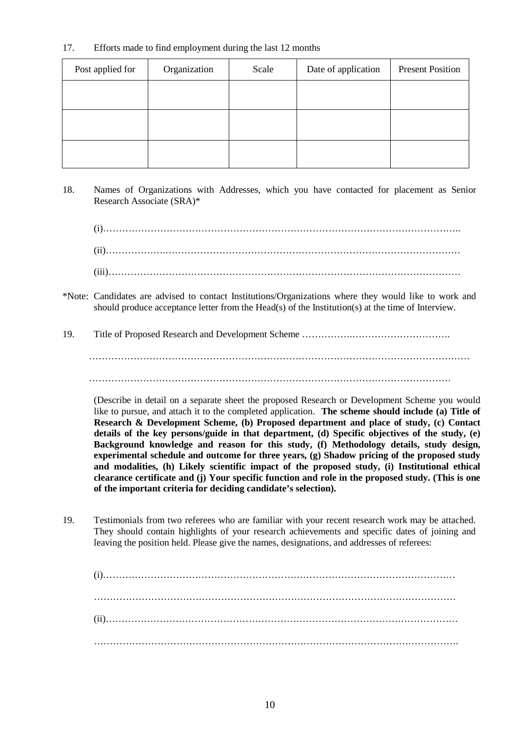# 17. Efforts made to find employment during the last 12 months

| Post applied for | Organization | Scale | Date of application | <b>Present Position</b> |
|------------------|--------------|-------|---------------------|-------------------------|
|                  |              |       |                     |                         |
|                  |              |       |                     |                         |
|                  |              |       |                     |                         |
|                  |              |       |                     |                         |

# 18. Names of Organizations with Addresses, which you have contacted for placement as Senior Research Associate (SRA)\*

- \*Note: Candidates are advised to contact Institutions/Organizations where they would like to work and should produce acceptance letter from the Head(s) of the Institution(s) at the time of Interview.
- 19. Title of Proposed Research and Development Scheme …………….………………………….

………………………………………………………………………………………………………… ……………………………………………………………………………………………………

(Describe in detail on a separate sheet the proposed Research or Development Scheme you would like to pursue, and attach it to the completed application. **The scheme should include (a) Title of Research & Development Scheme, (b) Proposed department and place of study, (c) Contact details of the key persons/guide in that department, (d) Specific objectives of the study, (e) Background knowledge and reason for this study, (f) Methodology details, study design, experimental schedule and outcome for three years, (g) Shadow pricing of the proposed study and modalities, (h) Likely scientific impact of the proposed study, (i) Institutional ethical clearance certificate and (j) Your specific function and role in the proposed study. (This is one of the important criteria for deciding candidate's selection).**

19. Testimonials from two referees who are familiar with your recent research work may be attached. They should contain highlights of your research achievements and specific dates of joining and leaving the position held. Please give the names, designations, and addresses of referees:

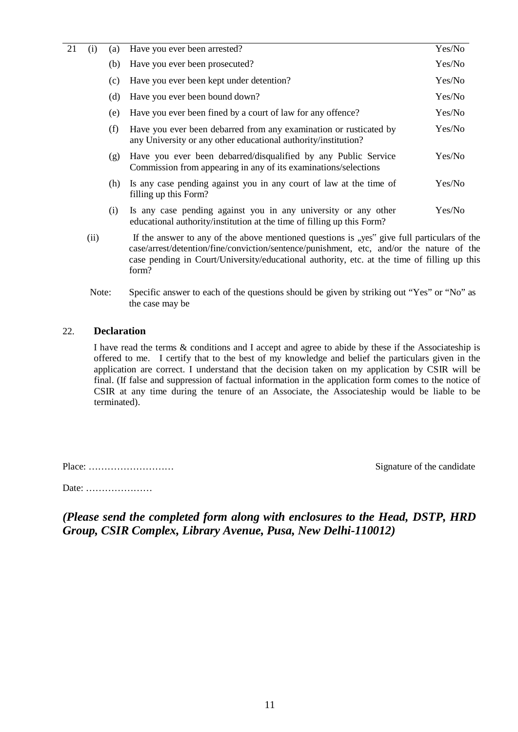| 21 | (i)  | (a) | Have you ever been arrested?                                                                                                                                                            | Yes/No |
|----|------|-----|-----------------------------------------------------------------------------------------------------------------------------------------------------------------------------------------|--------|
|    |      | (b) | Have you ever been prosecuted?                                                                                                                                                          | Yes/No |
|    |      | (c) | Have you ever been kept under detention?                                                                                                                                                | Yes/No |
|    |      | (d) | Have you ever been bound down?                                                                                                                                                          | Yes/No |
|    |      | (e) | Have you ever been fined by a court of law for any offence?                                                                                                                             | Yes/No |
|    |      | (f) | Have you ever been debarred from any examination or rusticated by<br>any University or any other educational authority/institution?                                                     | Yes/No |
|    |      | (g) | Have you ever been debarred/disqualified by any Public Service<br>Commission from appearing in any of its examinations/selections                                                       | Yes/No |
|    |      | (h) | Is any case pending against you in any court of law at the time of<br>filling up this Form?                                                                                             | Yes/No |
|    |      | (i) | Is any case pending against you in any university or any other<br>educational authority/institution at the time of filling up this Form?                                                | Yes/No |
|    | (ii) |     | If the answer to any of the above mentioned questions is "yes" give full particulars of the<br>case/arrest/detention/fine/conviction/sentence/punishment, etc, and/or the nature of the |        |

form? Note: Specific answer to each of the questions should be given by striking out "Yes" or "No" as

case pending in Court/University/educational authority, etc. at the time of filling up this

# 22. **Declaration**

the case may be

I have read the terms & conditions and I accept and agree to abide by these if the Associateship is offered to me. I certify that to the best of my knowledge and belief the particulars given in the application are correct. I understand that the decision taken on my application by CSIR will be final. (If false and suppression of factual information in the application form comes to the notice of CSIR at any time during the tenure of an Associate, the Associateship would be liable to be terminated).

Place: ……………………… Signature of the candidate

Date: …………………

*(Please send the completed form along with enclosures to the Head, DSTP, HRD Group, CSIR Complex, Library Avenue, Pusa, New Delhi-110012)*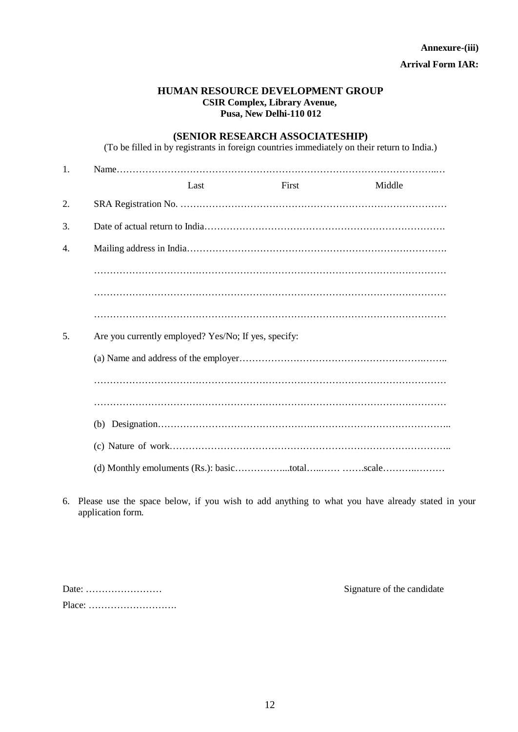# **HUMAN RESOURCE DEVELOPMENT GROUP CSIR Complex, Library Avenue, Pusa, New Delhi-110 012**

# **(SENIOR RESEARCH ASSOCIATESHIP)**

(To be filled in by registrants in foreign countries immediately on their return to India.)

| 1. |                                                      |       |        |
|----|------------------------------------------------------|-------|--------|
|    | Last                                                 | First | Middle |
| 2. |                                                      |       |        |
| 3. |                                                      |       |        |
| 4. |                                                      |       |        |
|    |                                                      |       |        |
|    |                                                      |       |        |
|    |                                                      |       |        |
| 5. | Are you currently employed? Yes/No; If yes, specify: |       |        |
|    |                                                      |       |        |
|    |                                                      |       |        |
|    |                                                      |       |        |
|    | (b)                                                  |       |        |
|    |                                                      |       |        |
|    |                                                      |       |        |

6. Please use the space below, if you wish to add anything to what you have already stated in your application form.

| Date: $\dots\dots\dots\dots\dots\dots\dots\dots\dots$ |  |  |  |  |  |  |  |  |  |  |  |  |
|-------------------------------------------------------|--|--|--|--|--|--|--|--|--|--|--|--|
| Place:                                                |  |  |  |  |  |  |  |  |  |  |  |  |

Signature of the candidate